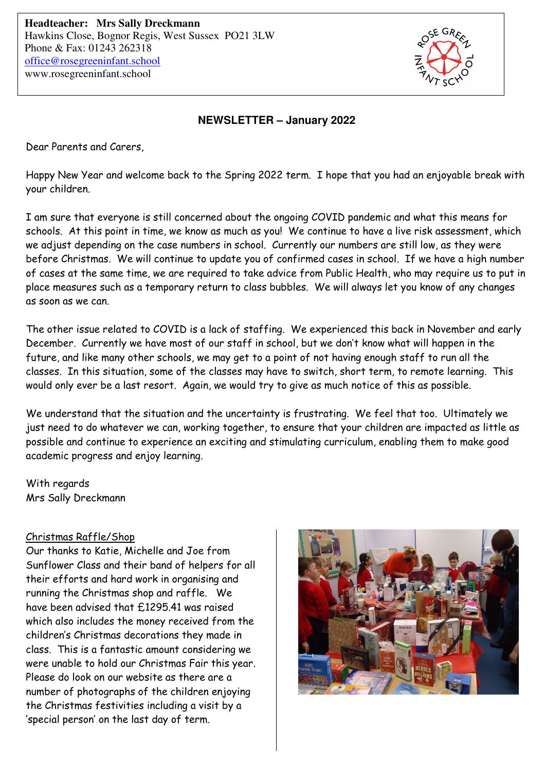

## **NEWSLETTER – January 2022**

Dear Parents and Carers,

Happy New Year and welcome back to the Spring 2022 term. I hope that you had an enjoyable break with your children.

I am sure that everyone is still concerned about the ongoing COVID pandemic and what this means for schools. At this point in time, we know as much as you! We continue to have a live risk assessment, which we adjust depending on the case numbers in school. Currently our numbers are still low, as they were before Christmas. We will continue to update you of confirmed cases in school. If we have a high number of cases at the same time, we are required to take advice from Public Health, who may require us to put in place measures such as a temporary return to class bubbles. We will always let you know of any changes as soon as we can.

The other issue related to COVID is a lack of staffing. We experienced this back in November and early December. Currently we have most of our staff in school, but we don't know what will happen in the future, and like many other schools, we may get to a point of not having enough staff to run all the classes. In this situation, some of the classes may have to switch, short term, to remote learning. This would only ever be a last resort. Again, we would try to give as much notice of this as possible.

We understand that the situation and the uncertainty is frustrating. We feel that too. Ultimately we just need to do whatever we can, working together, to ensure that your children are impacted as little as possible and continue to experience an exciting and stimulating curriculum, enabling them to make good academic progress and enjoy learning.

With regards Mrs Sally Dreckmann

#### Christmas Raffle/Shop

Our thanks to Katie, Michelle and Joe from Sunflower Class and their band of helpers for all their efforts and hard work in organising and running the Christmas shop and raffle. We have been advised that £1295.41 was raised which also includes the money received from the children's Christmas decorations they made in class. This is a fantastic amount considering we were unable to hold our Christmas Fair this year. Please do look on our website as there are a number of photographs of the children enjoying the Christmas festivities including a visit by a 'special person' on the last day of term.

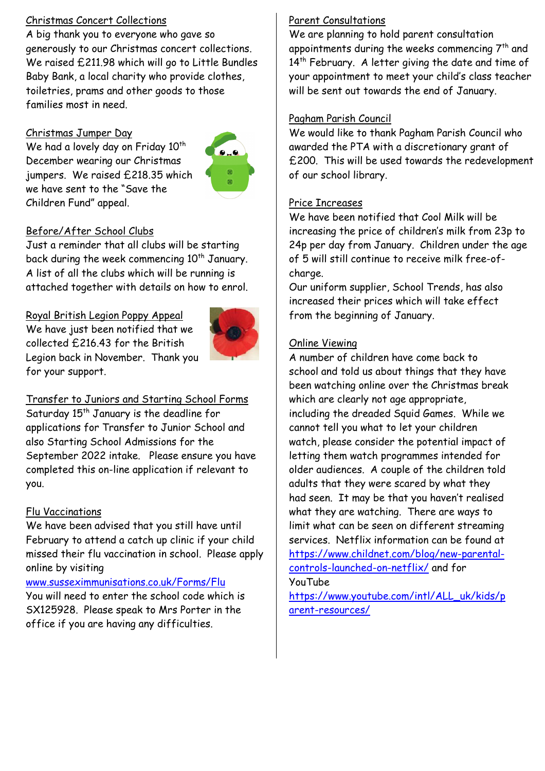## Christmas Concert Collections

A big thank you to everyone who gave so generously to our Christmas concert collections. We raised £211.98 which will go to Little Bundles Baby Bank, a local charity who provide clothes, toiletries, prams and other goods to those families most in need.

# Christmas Jumper Day

We had a lovely day on Friday 10<sup>th</sup> December wearing our Christmas jumpers. We raised £218.35 which we have sent to the "Save the Children Fund" appeal.



# Before/After School Clubs

Just a reminder that all clubs will be starting back during the week commencing 10<sup>th</sup> January. A list of all the clubs which will be running is attached together with details on how to enrol.

# Royal British Legion Poppy Appeal

We have just been notified that we collected £216.43 for the British Legion back in November. Thank you for your support.



Transfer to Juniors and Starting School Forms Saturday 15<sup>th</sup> January is the deadline for applications for Transfer to Junior School and also Starting School Admissions for the September 2022 intake. Please ensure you have completed this on-line application if relevant to you.

# Flu Vaccinations

We have been advised that you still have until February to attend a catch up clinic if your child missed their flu vaccination in school. Please apply online by visiting

#### www.susseximmunisations.co.uk/Forms/Flu You will need to enter the school code which is SX125928. Please speak to Mrs Porter in the office if you are having any difficulties.

# Parent Consultations

We are planning to hold parent consultation appointments during the weeks commencing 7<sup>th</sup> and 14<sup>th</sup> February. A letter giving the date and time of your appointment to meet your child's class teacher will be sent out towards the end of January.

#### Pagham Parish Council

We would like to thank Pagham Parish Council who awarded the PTA with a discretionary grant of £200. This will be used towards the redevelopment of our school library.

# Price Increases

We have been notified that Cool Milk will be increasing the price of children's milk from 23p to 24p per day from January. Children under the age of 5 will still continue to receive milk free-ofcharge.

Our uniform supplier, School Trends, has also increased their prices which will take effect from the beginning of January.

# Online Viewing

A number of children have come back to school and told us about things that they have been watching online over the Christmas break which are clearly not age appropriate, including the dreaded Squid Games. While we cannot tell you what to let your children watch, please consider the potential impact of letting them watch programmes intended for older audiences. A couple of the children told adults that they were scared by what they had seen. It may be that you haven't realised what they are watching. There are ways to limit what can be seen on different streaming services. Netflix information can be found at https://www.childnet.com/blog/new-parentalcontrols-launched-on-netflix/ and for YouTube

https://www.youtube.com/intl/ALL\_uk/kids/p arent-resources/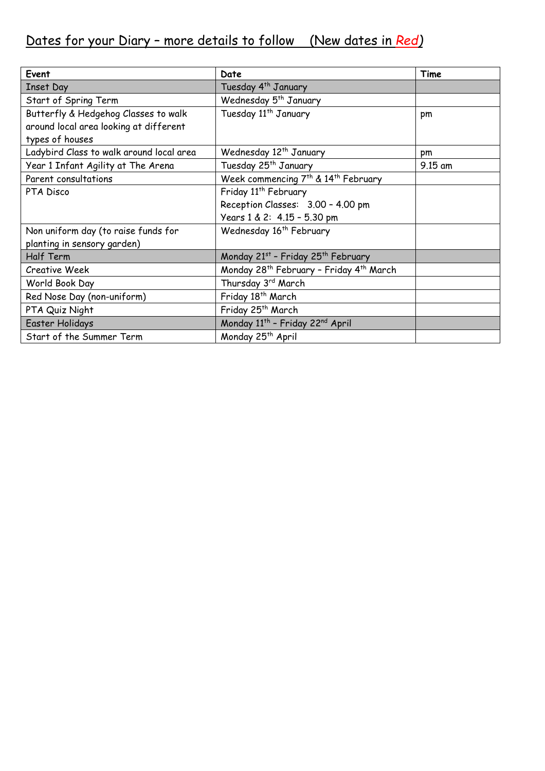# Dates for your Diary – more details to follow (New dates in *Red)*

| Event                                    | Date                                                            | Time      |
|------------------------------------------|-----------------------------------------------------------------|-----------|
| <b>Inset Day</b>                         | Tuesday 4 <sup>th</sup> January                                 |           |
| Start of Spring Term                     | Wednesday 5 <sup>th</sup> January                               |           |
| Butterfly & Hedgehog Classes to walk     | Tuesday 11 <sup>th</sup> January                                | pm        |
| around local area looking at different   |                                                                 |           |
| types of houses                          |                                                                 |           |
| Ladybird Class to walk around local area | Wednesday 12 <sup>th</sup> January                              | pm        |
| Year 1 Infant Agility at The Arena       | Tuesday 25 <sup>th</sup> January                                | $9.15$ am |
| Parent consultations                     | Week commencing 7 <sup>th</sup> & 14 <sup>th</sup> February     |           |
| PTA Disco                                | Friday 11 <sup>th</sup> February                                |           |
|                                          | Reception Classes: 3.00 - 4.00 pm                               |           |
|                                          | Years 1 & 2: 4.15 - 5.30 pm                                     |           |
| Non uniform day (to raise funds for      | Wednesday 16 <sup>th</sup> February                             |           |
| planting in sensory garden)              |                                                                 |           |
| <b>Half Term</b>                         | Monday 21st - Friday 25th February                              |           |
| <b>Creative Week</b>                     | Monday 28 <sup>th</sup> February - Friday 4 <sup>th</sup> March |           |
| World Book Day                           | Thursday 3rd March                                              |           |
| Red Nose Day (non-uniform)               | Friday 18 <sup>th</sup> March                                   |           |
| PTA Quiz Night                           | Friday 25 <sup>th</sup> March                                   |           |
| Easter Holidays                          | Monday 11 <sup>th</sup> - Friday 22 <sup>nd</sup> April         |           |
| Start of the Summer Term                 | Monday 25 <sup>th</sup> April                                   |           |